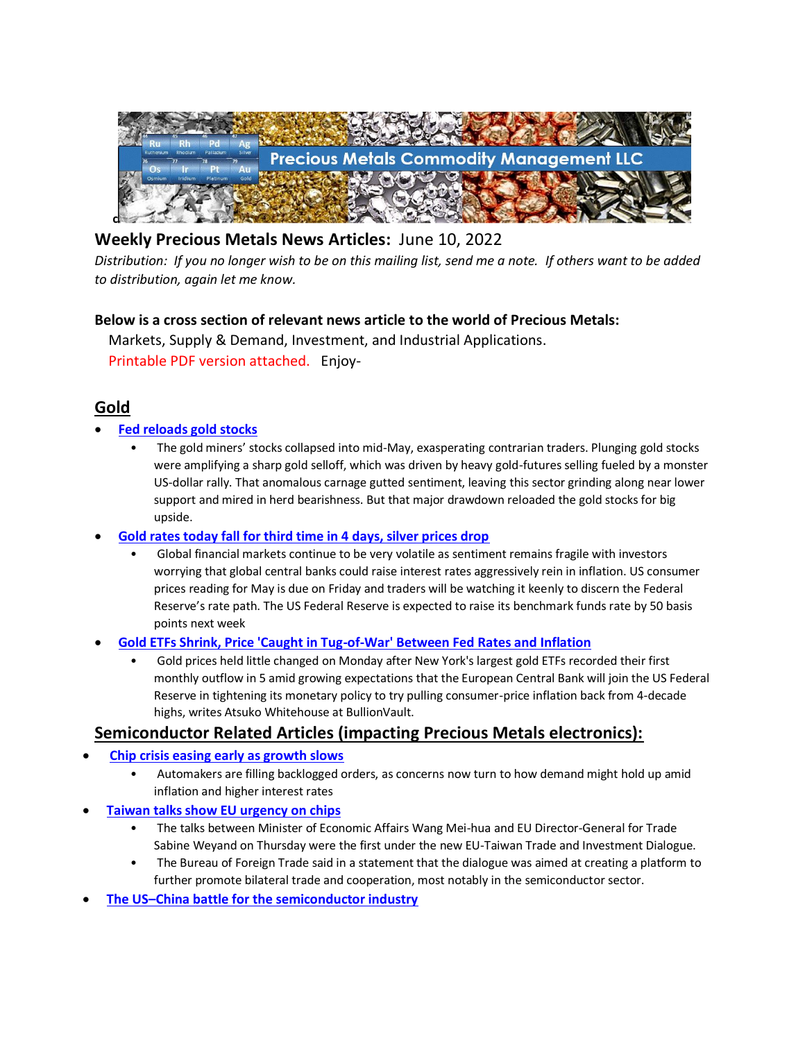

# **Weekly Precious Metals News Articles:** June 10, 2022

*Distribution: If you no longer wish to be on this mailing list, send me a note. If others want to be added to distribution, again let me know.*

## **Below is a cross section of relevant news article to the world of Precious Metals:**

 Markets, Supply & Demand, Investment, and Industrial Applications. Printable PDF version attached. Enjoy-

# **Gold**

- **[Fed reloads gold stocks](https://www.mining.com/web/fed-reloads-gold-stocks/)**
	- The gold miners' stocks collapsed into mid-May, exasperating contrarian traders. Plunging gold stocks were amplifying a sharp gold selloff, which was driven by heavy gold-futures selling fueled by a monster US-dollar rally. That anomalous carnage gutted sentiment, leaving this sector grinding along near lower support and mired in herd bearishness. But that major drawdown reloaded the gold stocks for big upside.
- **[Gold rates today fall for third time in 4 days, silver prices drop](https://www.livemint.com/news/india/gold-rates-today-fall-for-third-time-in-4-days-silver-prices-drop-11654657868476.html)**
	- Global financial markets continue to be very volatile as sentiment remains fragile with investors worrying that global central banks could raise interest rates aggressively rein in inflation. US consumer prices reading for May is due on Friday and traders will be watching it keenly to discern the Federal Reserve's rate path. The US Federal Reserve is expected to raise its benchmark funds rate by 50 basis points next week
- **[Gold ETFs Shrink, Price 'Caught in Tug-of-War' Between Fed Rates and Inflation](https://www.bullionvault.com/gold-news/gold-etf-060620221)**
	- Gold prices held little changed on Monday after New York's largest gold ETFs recorded their first monthly outflow in 5 amid growing expectations that the European Central Bank will join the US Federal Reserve in tightening its monetary policy to try pulling consumer-price inflation back from 4-decade highs, writes Atsuko Whitehouse at BullionVault.

# **Semiconductor Related Articles (impacting Precious Metals electronics):**

- **[Chip crisis easing early as growth slows](https://www.taipeitimes.com/News/biz/archives/2022/06/06/2003779404)**
	- Automakers are filling backlogged orders, as concerns now turn to how demand might hold up amid inflation and higher interest rates
- **[Taiwan talks show EU urgency on chips](https://www.taipeitimes.com/News/biz/archives/2022/06/06/2003779402)**
	- The talks between Minister of Economic Affairs Wang Mei-hua and EU Director-General for Trade Sabine Weyand on Thursday were the first under the new EU-Taiwan Trade and Investment Dialogue.
	- The Bureau of Foreign Trade said in a statement that the dialogue was aimed at creating a platform to further promote bilateral trade and cooperation, most notably in the semiconductor sector.
- **The US–[China battle for the semiconductor industry](https://www.eastasiaforum.org/2022/06/04/the-us-china-battle-for-the-semiconductor-industry/)**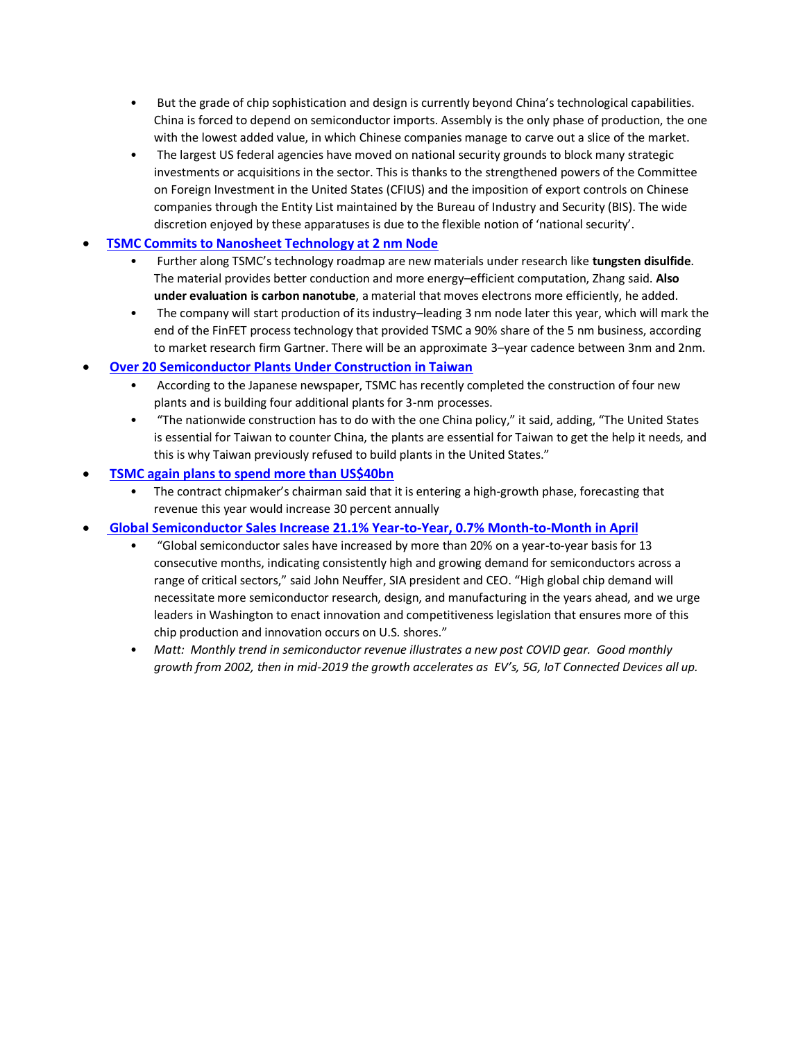- But the grade of chip sophistication and design is currently beyond China's technological capabilities. China is forced to depend on semiconductor imports. Assembly is the only phase of production, the one with the lowest added value, in which Chinese companies manage to carve out a slice of the market.
- The largest US federal agencies have moved on national security grounds to block many strategic investments or acquisitions in the sector. This is thanks to the strengthened powers of the Committee on Foreign Investment in the United States (CFIUS) and the imposition of export controls on Chinese companies through the Entity List maintained by the Bureau of Industry and Security (BIS). The wide discretion enjoyed by these apparatuses is due to the flexible notion of 'national security'.

## • **[TSMC Commits to Nanosheet Technology at 2 nm Node](https://www.eetimes.com/tsmc-commits-to-nanosheet-technology-at-2-nm-node/)**

- Further along TSMC's technology roadmap are new materials under research like **tungsten disulfide**. The material provides better conduction and more energy–efficient computation, Zhang said. **Also under evaluation is carbon nanotube**, a material that moves electrons more efficiently, he added.
- The company will start production of its industry–leading 3 nm node later this year, which will mark the end of the FinFET process technology that provided TSMC a 90% share of the 5 nm business, according to market research firm Gartner. There will be an approximate 3–year cadence between 3nm and 2nm.

### • **[Over 20 Semiconductor Plants Under Construction in Taiwan](http://www.businesskorea.co.kr/news/articleView.html?idxno=94137)**

- According to the Japanese newspaper, TSMC has recently completed the construction of four new plants and is building four additional plants for 3-nm processes.
- "The nationwide construction has to do with the one China policy," it said, adding, "The United States is essential for Taiwan to counter China, the plants are essential for Taiwan to get the help it needs, and this is why Taiwan previously refused to build plants in the United States."

### • **[TSMC again plans to spend more than US\\$40bn](https://www.taipeitimes.com/News/biz/archives/2022/06/09/2003779572)**

• The contract chipmaker's chairman said that it is entering a high-growth phase, forecasting that revenue this year would increase 30 percent annually

## • **[Global Semiconductor Sales Increase 21.1% Year-to-Year, 0.7% Month-to-Month in April](https://www.semiconductors.org/global-semiconductor-sales-increase-21-1-year-to-year-0-7-month-to-month-in-april/)**

- "Global semiconductor sales have increased by more than 20% on a year-to-year basis for 13 consecutive months, indicating consistently high and growing demand for semiconductors across a range of critical sectors," said John Neuffer, SIA president and CEO. "High global chip demand will necessitate more semiconductor research, design, and manufacturing in the years ahead, and we urge leaders in Washington to enact innovation and competitiveness legislation that ensures more of this chip production and innovation occurs on U.S. shores."
- *Matt: Monthly trend in semiconductor revenue illustrates a new post COVID gear. Good monthly growth from 2002, then in mid-2019 the growth accelerates as EV's, 5G, IoT Connected Devices all up.*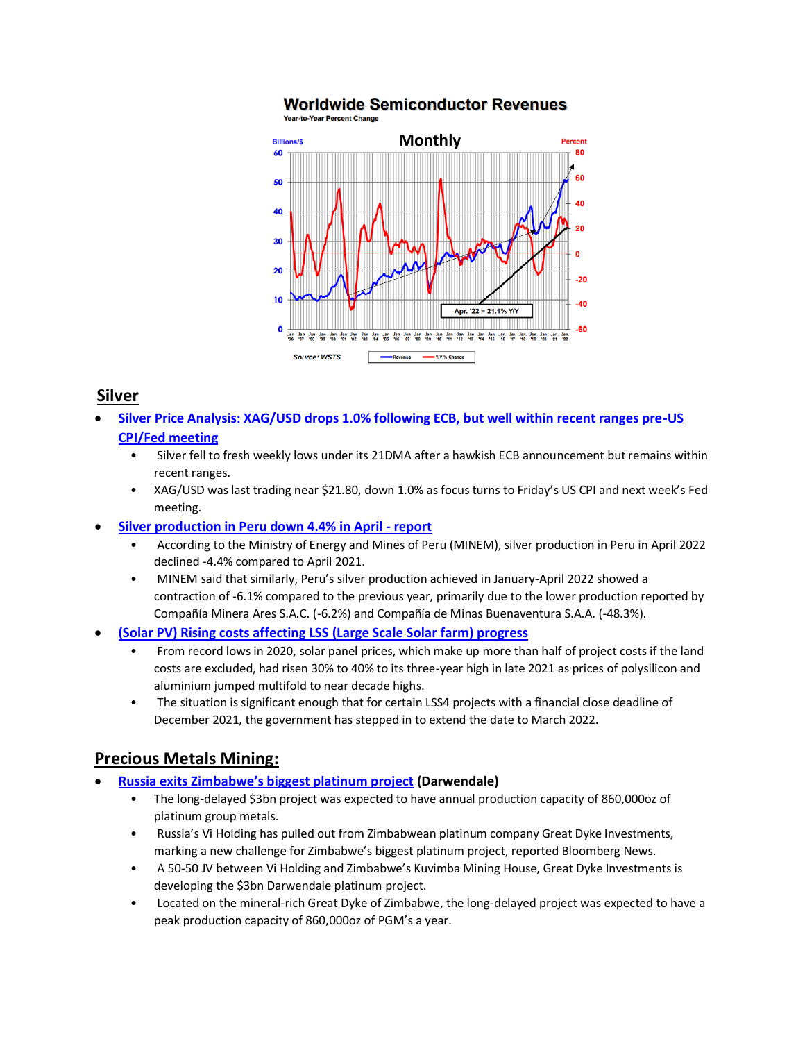

# **Worldwide Semiconductor Revenues**

# **Silver**

- **[Silver Price Analysis: XAG/USD drops 1.0% following ECB, but well within recent ranges pre-US](https://www.fxstreet.com/news/silver-price-analysis-xag-usd-drops-10-following-ecb-but-well-within-recent-ranges-pre-us-cpi-fed-meeting-202206091348)  [CPI/Fed meeting](https://www.fxstreet.com/news/silver-price-analysis-xag-usd-drops-10-following-ecb-but-well-within-recent-ranges-pre-us-cpi-fed-meeting-202206091348)**
	- Silver fell to fresh weekly lows under its 21DMA after a hawkish ECB announcement but remains within recent ranges.
	- XAG/USD was last trading near \$21.80, down 1.0% as focus turns to Friday's US CPI and next week's Fed meeting.
- **[Silver production in Peru down 4.4% in April -](https://www.kitco.com/news/2022-06-07/Silver-production-in-Peru-down-4-4-in-April-report.html) report**
	- According to the Ministry of Energy and Mines of Peru (MINEM), silver production in Peru in April 2022 declined -4.4% compared to April 2021.
	- MINEM said that similarly, Peru's silver production achieved in January-April 2022 showed a contraction of -6.1% compared to the previous year, primarily due to the lower production reported by Compañía Minera Ares S.A.C. (-6.2%) and Compañía de Minas Buenaventura S.A.A. (-48.3%).
- **[\(Solar](https://www.bullionvault.com/gold-news/gold-prices-060120221) PV) Rising costs affecting LSS (Large Scale Solar farm) progress**
	- From record lows in 2020, solar panel prices, which make up more than half of project costs if the land costs are excluded, had risen 30% to 40% to its three-year high in late 2021 as prices of polysilicon and aluminium jumped multifold to near decade highs.
	- The situation is significant enough that for certain LSS4 projects with a financial close deadline of December 2021, the government has stepped in to extend the date to March 2022.

# **Precious Metals Mining:**

- **[Russia exits Zimbabwe's biggest platinum project](https://www.mining-technology.com/news/russia-exits-zimbabwe-platinum/) (Darwendale)**
	- The long-delayed \$3bn project was expected to have annual production capacity of 860,000oz of platinum group metals.
	- Russia's Vi Holding has pulled out from Zimbabwean platinum company Great Dyke Investments, marking a new challenge for Zimbabwe's biggest platinum project, reported Bloomberg News.
	- A 50-50 JV between Vi Holding and Zimbabwe's Kuvimba Mining House, Great Dyke Investments is developing the \$3bn Darwendale platinum project.
	- Located on the mineral-rich Great Dyke of Zimbabwe, the long-delayed project was expected to have a peak production capacity of 860,000oz of PGM's a year.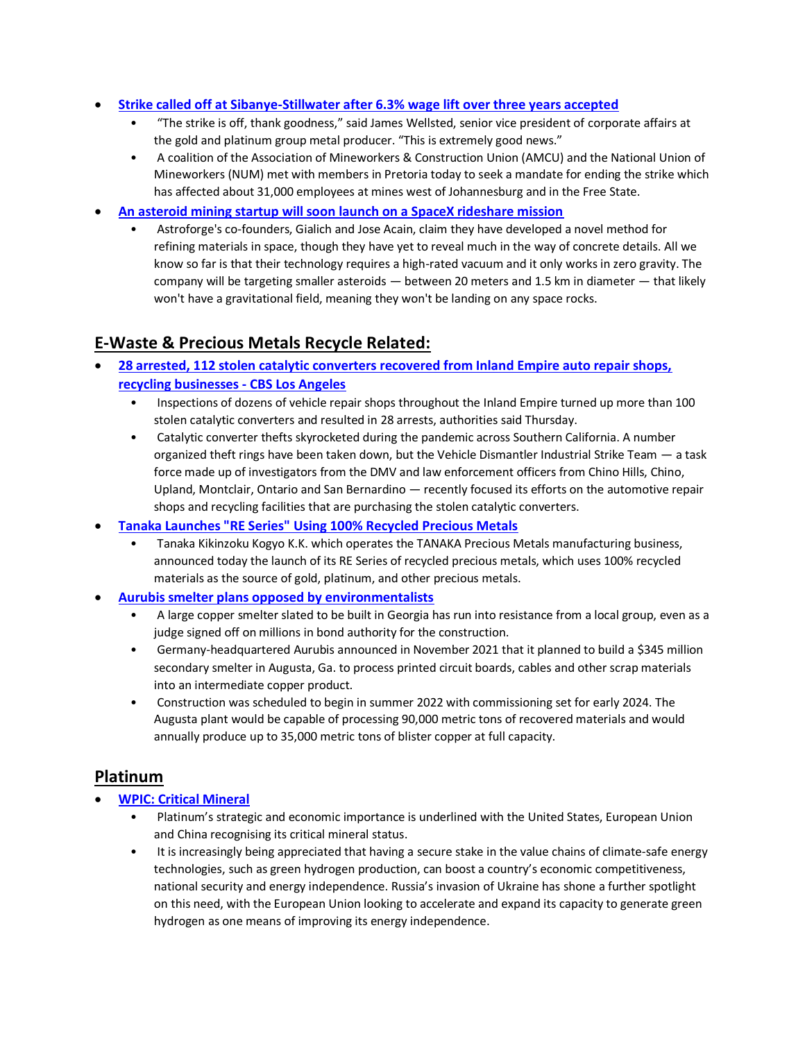- **[Strike called off at Sibanye-Stillwater after 6.3% wage lift over three years accepted](https://www.miningmx.com/top-story/49734-strike-called-off-at-sibanye-stillwater-after-ccma-mediates-average-6-5-lift-over-three-years/)**
	- "The strike is off, thank goodness," said James Wellsted, senior vice president of corporate affairs at the gold and platinum group metal producer. "This is extremely good news."
	- A coalition of the Association of Mineworkers & Construction Union (AMCU) and the National Union of Mineworkers (NUM) met with members in Pretoria today to seek a mandate for ending the strike which has affected about 31,000 employees at mines west of Johannesburg and in the Free State.
- **[An asteroid mining startup will soon launch on a SpaceX rideshare mission](https://interestingengineering.com/asteroid-mining-startup-spacex-rideshare-mission)**
	- Astroforge's co-founders, Gialich and Jose Acain, claim they have developed a novel method for refining materials in space, though they have yet to reveal much in the way of concrete details. All we know so far is that their technology requires a high-rated vacuum and it only works in zero gravity. The company will be targeting smaller asteroids — between 20 meters and 1.5 km in diameter — that likely won't have a gravitational field, meaning they won't be landing on any space rocks.

## **E-Waste & Precious Metals Recycle Related:**

- **[28 arrested, 112 stolen catalytic converters recovered from Inland Empire auto repair shops,](https://www.cbsnews.com/losangeles/news/28-arrested-112-stolen-catalytic-converters-recovered-inland-empire-auto-repair-shops-recycling-businesses/)  [recycling businesses -](https://www.cbsnews.com/losangeles/news/28-arrested-112-stolen-catalytic-converters-recovered-inland-empire-auto-repair-shops-recycling-businesses/) CBS Los Angeles**
	- Inspections of dozens of vehicle repair shops throughout the Inland Empire turned up more than 100 stolen catalytic converters and resulted in 28 arrests, authorities said Thursday.
	- Catalytic converter thefts skyrocketed during the pandemic across Southern California. A number organized theft rings have been taken down, but the Vehicle Dismantler Industrial Strike Team — a task force made up of investigators from the DMV and law enforcement officers from Chino Hills, Chino, Upland, Montclair, Ontario and San Bernardino — recently focused its efforts on the automotive repair shops and recycling facilities that are purchasing the stolen catalytic converters.
- **[Tanaka Launches "RE Series" Using 100% Recycled Precious Metals](https://www.scoop.co.nz/stories/BU2206/S00123/tanaka-launches-re-series-using-100-recycled-precious-metals.htm)**
	- Tanaka Kikinzoku Kogyo K.K. which operates the TANAKA Precious Metals manufacturing business, announced today the launch of its RE Series of recycled precious metals, which uses 100% recycled materials as the source of gold, platinum, and other precious metals.
- **[Aurubis smelter plans opposed by environmentalists](https://resource-recycling.com/e-scrap/2022/06/08/aurubis-smelter-plans-opposed-by-environmentalists/)**
	- A large copper smelter slated to be built in Georgia has run into resistance from a local group, even as a judge signed off on millions in bond authority for the construction.
	- Germany-headquartered Aurubis announced in November 2021 that it planned to build a \$345 million secondary smelter in Augusta, Ga. to process printed circuit boards, cables and other scrap materials into an intermediate copper product.
	- Construction was scheduled to begin in summer 2022 with commissioning set for early 2024. The Augusta plant would be capable of processing 90,000 metric tons of recovered materials and would annually produce up to 35,000 metric tons of blister copper at full capacity.

## **Platinum**

- **[WPIC:](https://www.bullionvault.com/gold-news/gold-prices-060120221) Critical Mineral**
	- Platinum's strategic and economic importance is underlined with the United States, European Union and China recognising its critical mineral status.
	- It is increasingly being appreciated that having a secure stake in the value chains of climate-safe energy technologies, such as green hydrogen production, can boost a country's economic competitiveness, national security and energy independence. Russia's invasion of Ukraine has shone a further spotlight on this need, with the European Union looking to accelerate and expand its capacity to generate green hydrogen as one means of improving its energy independence.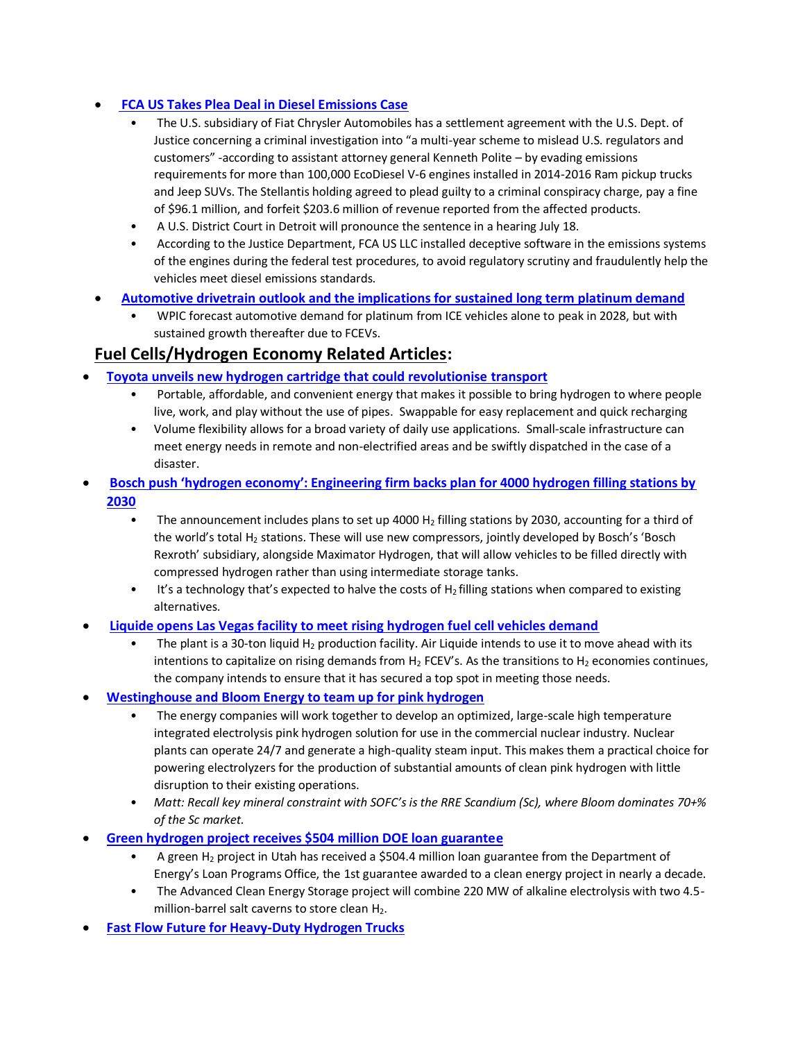## • **[FCA US Takes Plea Deal in Diesel Emissions Case](https://www.americanmachinist.com/news/article/21243993/fca-us-takes-plea-deal-in-diesel-emissions-case-stellantis)**

- The U.S. subsidiary of Fiat Chrysler Automobiles has a settlement agreement with the U.S. Dept. of Justice concerning a criminal investigation into "a multi-year scheme to mislead U.S. regulators and customers" -according to assistant attorney general Kenneth Polite – by evading emissions requirements for more than 100,000 EcoDiesel V-6 engines installed in 2014-2016 Ram pickup trucks and Jeep SUVs. The Stellantis holding agreed to plead guilty to a criminal conspiracy charge, pay a fine of \$96.1 million, and forfeit \$203.6 million of revenue reported from the affected products.
- A U.S. District Court in Detroit will pronounce the sentence in a hearing July 18.
- According to the Justice Department, FCA US LLC installed deceptive software in the emissions systems of the engines during the federal test procedures, to avoid regulatory scrutiny and fraudulently help the vehicles meet diesel emissions standards.
- **[Automotive drivetrain outlook and the implications for sustained long term platinum demand](https://platinuminvestment.com/files/847445/WPIC_Platinum_Essentials_June_2022.pdf)**
	- WPIC forecast automotive demand for platinum from ICE vehicles alone to peak in 2028, but with sustained growth thereafter due to FCEVs.

## **Fuel Cells/Hydrogen Economy Related Articles:**

- **[Toyota unveils new hydrogen cartridge that could revolutionise transport](https://www.newshub.co.nz/home/technology/2022/06/toyota-unveils-new-hydrogen-cartridge-that-could-revolutionise-transport.html)**
	- Portable, affordable, and convenient energy that makes it possible to bring hydrogen to where people live, work, and play without the use of pipes. Swappable for easy replacement and quick recharging
	- Volume flexibility allows for a broad variety of daily use applications. Small-scale infrastructure can meet energy needs in remote and non-electrified areas and be swiftly dispatched in the case of a disaster.
- **[Bosch push 'hydrogen economy': Engineering firm backs plan for 4000 hydrogen filling stations by](https://www.motorcyclenews.com/news/new-tech/bosch-hydrogen-fuel/)  [2030](https://www.motorcyclenews.com/news/new-tech/bosch-hydrogen-fuel/)**
	- The announcement includes plans to set up 4000 H<sub>2</sub> filling stations by 2030, accounting for a third of the world's total H<sub>2</sub> stations. These will use new compressors, jointly developed by Bosch's 'Bosch Rexroth' subsidiary, alongside Maximator Hydrogen, that will allow vehicles to be filled directly with compressed hydrogen rather than using intermediate storage tanks.
	- $\bullet$  It's a technology that's expected to halve the costs of H<sub>2</sub> filling stations when compared to existing alternatives.
- **[Liquide opens Las Vegas facility to meet rising hydrogen fuel cell vehicles demand](https://www.hydrogenfuelnews.com/hydrogen-fuel-cell-vehicles-lv/8553004/?)**
	- The plant is a 30-ton liquid  $H_2$  production facility. Air Liquide intends to use it to move ahead with its intentions to capitalize on rising demands from  $H_2$  FCEV's. As the transitions to  $H_2$  economies continues, the company intends to ensure that it has secured a top spot in meeting those needs.
- **[Westinghouse and Bloom Energy to team up for pink hydrogen](https://www.hydrogenfuelnews.com/pink-hydrogen-business/8553013/?)**
	- The energy companies will work together to develop an optimized, large-scale high temperature integrated electrolysis pink hydrogen solution for use in the commercial nuclear industry. Nuclear plants can operate 24/7 and generate a high-quality steam input. This makes them a practical choice for powering electrolyzers for the production of substantial amounts of clean pink hydrogen with little disruption to their existing operations.
	- *Matt: Recall key mineral constraint with SOFC's is the RRE Scandium (Sc), where Bloom dominates 70+% of the Sc market.*
- **[Green hydrogen project receives \\$504 million DOE loan guarantee](https://www.power-eng.com/hydrogen/green-hydrogen-project-receives-504-million-doe-loan-guarantee/)**
	- A green H<sub>2</sub> project in Utah has received a \$504.4 million loan guarantee from the Department of Energy's Loan Programs Office, the 1st guarantee awarded to a clean energy project in nearly a decade.
	- The Advanced Clean Energy Storage project will combine 220 MW of alkaline electrolysis with two 4.5 million-barrel salt caverns to store clean H<sub>2</sub>.
- **[Fast Flow Future for Heavy-Duty Hydrogen Trucks](https://www.nrel.gov/news/program/2022/fast-flow-future-heavy-duty-hydrogen-trucks.html)**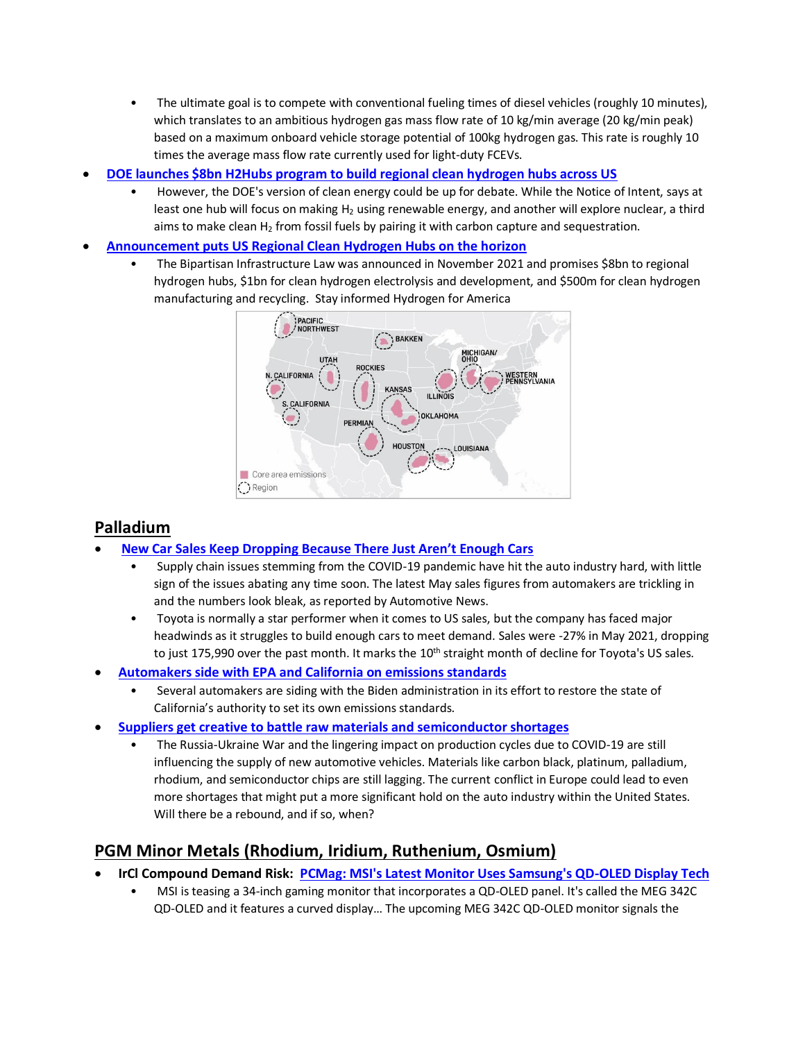- The ultimate goal is to compete with conventional fueling times of diesel vehicles (roughly 10 minutes), which translates to an ambitious hydrogen gas mass flow rate of 10 kg/min average (20 kg/min peak) based on a maximum onboard vehicle storage potential of 100kg hydrogen gas. This rate is roughly 10 times the average mass flow rate currently used for light-duty FCEVs.
- **[DOE launches \\$8bn H2Hubs program to build regional clean hydrogen hubs across US](https://www.datacenterdynamics.com/en/news/doe-launches-8bn-h2hubs-program-to-build-regional-clean-hydrogen-hubs-across-us/)**
	- However, the DOE's version of clean energy could be up for debate. While the Notice of Intent, says at least one hub will focus on making H<sub>2</sub> using renewable energy, and another will explore nuclear, a third aims to make clean  $H_2$  from fossil fuels by pairing it with carbon capture and sequestration.
- **[Announcement puts US Regional Clean Hydrogen Hubs on the horizon](https://energycentral.com/c/cp/announcement-puts-us-regional-clean-hydrogen-hubs-horizon#.Yp9JuxKkiX4.linkedin)**
	- The Bipartisan Infrastructure Law was announced in November 2021 and promises \$8bn to regional hydrogen hubs, \$1bn for clean hydrogen electrolysis and development, and \$500m for clean hydrogen manufacturing and recycling. Stay informed Hydrogen for America



# **Palladium**

- **[New Car Sales Keep Dropping Because There Just Aren't Enough Cars](https://www.msn.com/en-us/autos/news/new-car-sales-keep-dropping-because-there-just-aren-e2-80-99t-enough-cars/ar-AAXYSzt?ocid=BingNewsSearch)**
	- Supply chain issues stemming from the COVID-19 pandemic have hit the auto industry hard, with little sign of the issues abating any time soon. The latest May sales figures from automakers are trickling in and the numbers look bleak, as reported by Automotive News.
	- Toyota is normally a star performer when it comes to US sales, but the company has faced major headwinds as it struggles to build enough cars to meet demand. Sales were -27% in May 2021, dropping to just 175,990 over the past month. It marks the 10<sup>th</sup> straight month of decline for Toyota's US sales.
- **[Automakers side with EPA and California on emissions standards](https://www.just-auto.com/news/automakers-side-with-epa-and-california-on-emissions-standards/)**
	- Several automakers are siding with the Biden administration in its effort to restore the state of California's authority to set its own emissions standards.
	- **[Suppliers get creative to battle raw materials and semiconductor shortages](https://www.cbtnews.com/suppliers-get-creative-to-battle-raw-materials-and-semiconductor-shortages/)**
		- The Russia-Ukraine War and the lingering impact on production cycles due to COVID-19 are still influencing the supply of new automotive vehicles. Materials like carbon black, platinum, palladium, rhodium, and semiconductor chips are still lagging. The current conflict in Europe could lead to even more shortages that might put a more significant hold on the auto industry within the United States. Will there be a rebound, and if so, when?

# **PGM Minor Metals (Rhodium, Iridium, Ruthenium, Osmium)**

- **[IrCl](https://www.bullionvault.com/gold-news/gold-prices-060120221) Compound Demand Risk: [PCMag: MSI's Latest Monitor Uses Samsung's QD-OLED Display Tech](https://nanosys.com/blog-archive/pcmag-msis-latest-monitor-uses-samsungs-qd-oled-display-tech)**
	- MSI is teasing a 34-inch gaming monitor that incorporates a QD-OLED panel. It's called the MEG 342C QD-OLED and it features a curved display… The upcoming MEG 342C QD-OLED monitor signals the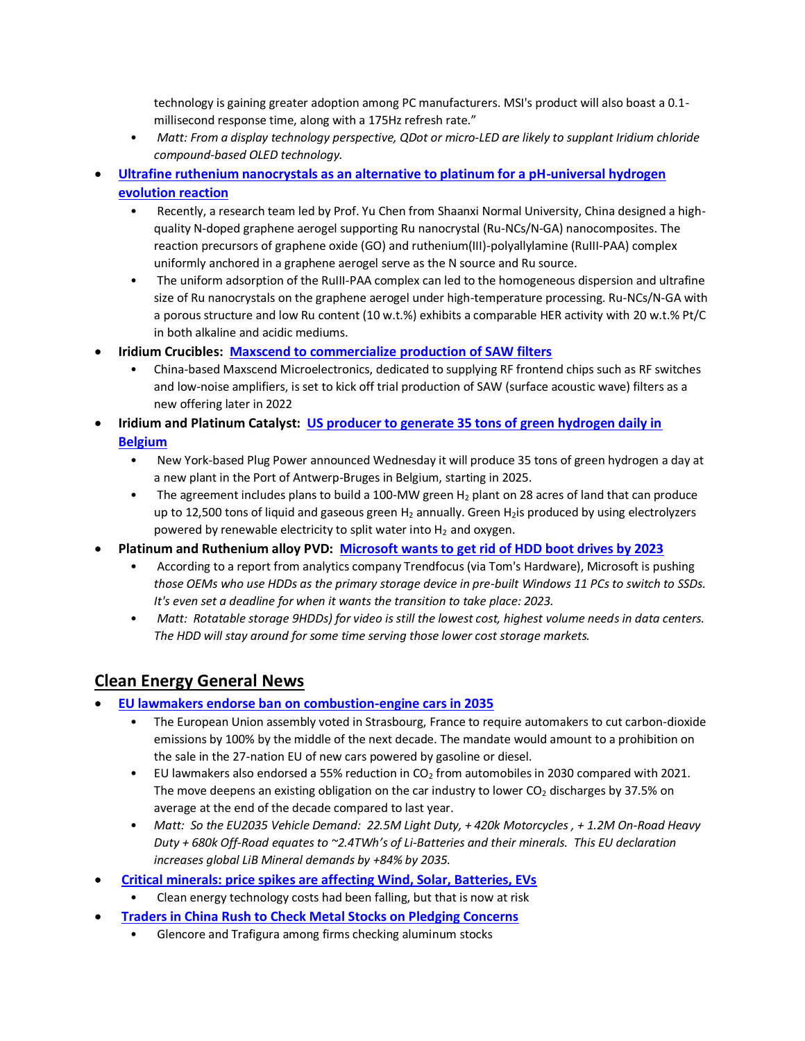technology is gaining greater adoption among PC manufacturers. MSI's product will also boast a 0.1 millisecond response time, along with a 175Hz refresh rate."

- *Matt: From a display technology perspective, QDot or micro-LED are likely to supplant Iridium chloride compound-based OLED technology.*
- **[Ultrafine ruthenium nanocrystals as an alternative to platinum for a pH-universal hydrogen](https://mydroll.com/ultrafine-ruthenium-nanocrystals-as-an-alternative-to-platinum-for-a-ph-universal-hydrogen-evolution-reaction/)  [evolution reaction](https://mydroll.com/ultrafine-ruthenium-nanocrystals-as-an-alternative-to-platinum-for-a-ph-universal-hydrogen-evolution-reaction/)**
	- Recently, a research team led by Prof. Yu Chen from Shaanxi Normal University, China designed a highquality N-doped graphene aerogel supporting Ru nanocrystal (Ru-NCs/N-GA) nanocomposites. The reaction precursors of graphene oxide (GO) and ruthenium(III)-polyallylamine (RuIII-PAA) complex uniformly anchored in a graphene aerogel serve as the N source and Ru source.
	- The uniform adsorption of the RuIII-PAA complex can led to the homogeneous dispersion and ultrafine size of Ru nanocrystals on the graphene aerogel under high-temperature processing. Ru-NCs/N-GA with a porous structure and low Ru content (10 w.t.%) exhibits a comparable HER activity with 20 w.t.% Pt/C in both alkaline and acidic mediums.
- **Iridium Crucibles: [Maxscend to commercialize production of SAW filters](https://www.digitimes.com/news/a20220527PD204/wireless-networking.html)**
	- China-based Maxscend Microelectronics, dedicated to supplying RF frontend chips such as RF switches and low-noise amplifiers, is set to kick off trial production of SAW (surface acoustic wave) filters as a new offering later in 2022
- **[Iridium](https://www.bullionvault.com/gold-news/gold-prices-060120221) and Platinum Catalyst: [US producer to generate 35 tons of green hydrogen daily in](https://www.freightwaves.com/news/us-producer-to-generate-35-tons-of-green-hydrogen-daily-in-belgium)  [Belgium](https://www.freightwaves.com/news/us-producer-to-generate-35-tons-of-green-hydrogen-daily-in-belgium)**
	- New York-based Plug Power announced Wednesday it will produce 35 tons of green hydrogen a day at a new plant in the Port of Antwerp-Bruges in Belgium, starting in 2025.
	- The agreement includes plans to build a 100-MW green  $H_2$  plant on 28 acres of land that can produce up to 12,500 tons of liquid and gaseous green  $H_2$  annually. Green  $H_2$ is produced by using electrolyzers powered by renewable electricity to split water into  $H_2$  and oxygen.
- **[Platinum](https://www.bullionvault.com/gold-news/gold-prices-060120221) and Ruthenium alloy PVD: [Microsoft wants to get rid of HDD boot drives by 2023](https://www.techspot.com/news/94882-microsoft-calls-oems-kill-off-hdd-boot-drives.html)**
	- According to a report from analytics company Trendfocus (via Tom's Hardware), Microsoft is pushing *those OEMs who use HDDs as the primary storage device in pre-built Windows 11 PCs to switch to SSDs. It's even set a deadline for when it wants the transition to take place: 2023.*
	- Matt: Rotatable storage 9HDDs) for video is still the lowest cost, highest volume needs in data centers. *The HDD will stay around for some time serving those lower cost storage markets.*

# **Clean Energy General News**

- **[EU lawmakers endorse ban on combustion-engine cars in 2035](https://www.msn.com/en-us/news/world/eu-lawmakers-endorse-ban-on-combustion-engine-cars-in-2035/ar-AAYdZNY?ocid=BingNewsSearch)**
	- The European Union assembly voted in Strasbourg, France to require automakers to cut carbon-dioxide emissions by 100% by the middle of the next decade. The mandate would amount to a prohibition on the sale in the 27-nation EU of new cars powered by gasoline or diesel.
	- EU lawmakers also endorsed a 55% reduction in  $CO<sub>2</sub>$  from automobiles in 2030 compared with 2021. The move deepens an existing obligation on the car industry to lower  $CO<sub>2</sub>$  discharges by 37.5% on average at the end of the decade compared to last year.
	- *Matt: So the EU2035 Vehicle Demand: 22.5M Light Duty, + 420k Motorcycles , + 1.2M On-Road Heavy Duty + 680k Off-Road equates to ~2.4TWh's of Li-Batteries and their minerals. This EU declaration increases global LiB Mineral demands by +84% by 2035.*
- **[Critical minerals: price spikes are affecting Wind, Solar, Batteries, EVs](https://energypost.eu/critical-minerals-for-the-energy-transition-price-spikes-and-what-to-do-about-it/)**
	- Clean energy technology costs had been falling, but that is now at risk
- **[Traders in China Rush to Check Metal Stocks on Pledging Concerns](https://www.bloomberg.com/news/articles/2022-06-06/traders-in-china-rush-to-check-metal-stocks-on-pledging-concerns)**
	- Glencore and Trafigura among firms checking aluminum stocks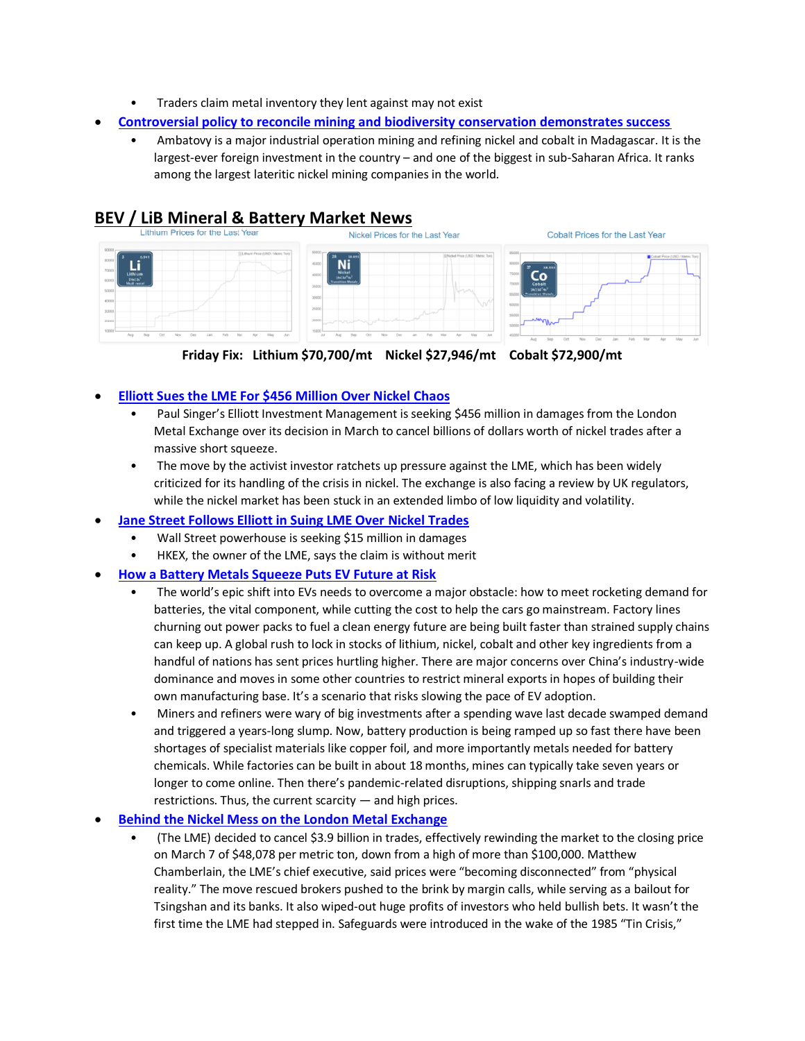- Traders claim metal inventory they lent against may not exist
- **[Controversial policy to reconcile mining and biodiversity conservation demonstrates success](https://phys.org/news/2022-03-controversial-policy-biodiversity-success.html)**
	- Ambatovy is a major industrial operation mining and refining nickel and cobalt in Madagascar. It is the largest-ever foreign investment in the country – and one of the biggest in sub-Saharan Africa. It ranks among the largest lateritic nickel mining companies in the world.



**Friday Fix: Lithium \$70,700/mt Nickel \$27,946/mt Cobalt \$72,900/mt**

### • **[Elliott Sues the LME For \\$456 Million Over Nickel Chaos](https://www.bloomberg.com/news/articles/2022-06-06/london-metal-exchange-sued-for-456-million-by-elliott)**

- Paul Singer's Elliott Investment Management is seeking \$456 million in damages from the London Metal Exchange over its decision in March to cancel billions of dollars worth of nickel trades after a massive short squeeze.
- The move by the activist investor ratchets up pressure against the LME, which has been widely criticized for its handling of the crisis in nickel. The exchange is also facing a review by UK regulators, while the nickel market has been stuck in an extended limbo of low liquidity and volatility.
- **[Jane Street Follows Elliott in Suing LME Over Nickel Trades](https://www.bloomberg.com/news/articles/2022-06-07/jane-street-follows-elliott-in-suing-lme-over-nickel-trades)**
	- Wall Street powerhouse is seeking \$15 million in damages
	- HKEX, the owner of the LME, says the claim is without merit
- **[How a Battery Metals Squeeze Puts EV Future at Risk](https://www.bloomberg.com/news/articles/2022-06-07/how-a-battery-metals-squeeze-puts-ev-future-at-risk-quicktake#xj4y7vzkg)**
	- The world's epic shift into EVs needs to overcome a major obstacle: how to meet rocketing demand for batteries, the vital component, while cutting the cost to help the cars go mainstream. Factory lines churning out power packs to fuel a clean energy future are being built faster than strained supply chains can keep up. A global rush to lock in stocks of lithium, nickel, cobalt and other key ingredients from a handful of nations has sent prices hurtling higher. There are major concerns over China's industry-wide dominance and moves in some other countries to restrict mineral exports in hopes of building their own manufacturing base. It's a scenario that risks slowing the pace of EV adoption.
	- Miners and refiners were wary of big investments after a spending wave last decade swamped demand and triggered a years-long slump. Now, battery production is being ramped up so fast there have been shortages of specialist materials like copper foil, and more importantly metals needed for battery chemicals. While factories can be built in about 18 months, mines can typically take seven years or longer to come online. Then there's pandemic-related disruptions, shipping snarls and trade restrictions. Thus, the current scarcity — and high prices.

#### • **[Behind the Nickel Mess on the London Metal Exchange](https://www.washingtonpost.com/business/behind-the-nickel-mess-on-the-london-metal-exchange/2022/06/10/86368072-e8ba-11ec-a422-11bbb91db30b_story.html)**

• (The LME) decided to cancel \$3.9 billion in trades, effectively rewinding the market to the closing price on March 7 of \$48,078 per metric ton, down from a high of more than \$100,000. Matthew Chamberlain, the LME's chief executive, said prices were "becoming disconnected" from "physical reality." The move rescued brokers pushed to the brink by margin calls, while serving as a bailout for Tsingshan and its banks. It also wiped-out huge profits of investors who held bullish bets. It wasn't the first time the LME had stepped in. Safeguards were introduced in the wake of the 1985 "Tin Crisis,"